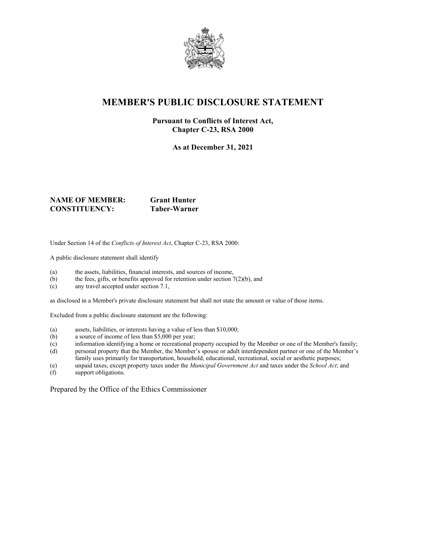

# **MEMBER'S PUBLIC DISCLOSURE STATEMENT**

#### **Pursuant to Conflicts of Interest Act, Chapter C-23, RSA 2000**

**As at December 31, 2021**

#### **NAME OF MEMBER: Grant Hunter CONSTITUENCY: Taber-Warner**

Under Section 14 of the *Conflicts of Interest Act*, Chapter C-23, RSA 2000:

A public disclosure statement shall identify

- (a) the assets, liabilities, financial interests, and sources of income,
- (b) the fees, gifts, or benefits approved for retention under section  $7(2)(b)$ , and
- (c) any travel accepted under section 7.1,

as disclosed in a Member's private disclosure statement but shall not state the amount or value of those items.

Excluded from a public disclosure statement are the following:

- (a) assets, liabilities, or interests having a value of less than \$10,000;
- (b) a source of income of less than \$5,000 per year;
- (c) information identifying a home or recreational property occupied by the Member or one of the Member's family;
- (d) personal property that the Member, the Member's spouse or adult interdependent partner or one of the Member's family uses primarily for transportation, household, educational, recreational, social or aesthetic purposes;
- (e) unpaid taxes, except property taxes under the *Municipal Government Act* and taxes under the *School Act*; and
- support obligations.

Prepared by the Office of the Ethics Commissioner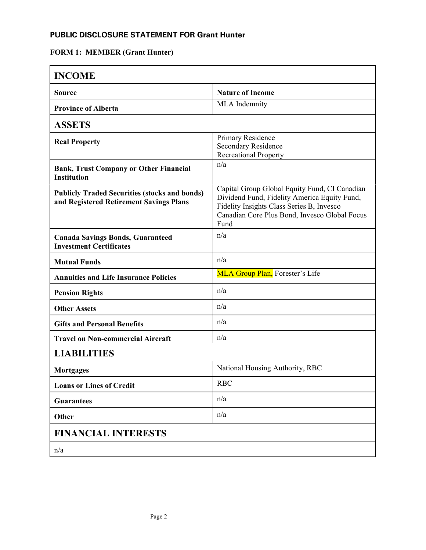### **PUBLIC DISCLOSURE STATEMENT FOR Grant Hunter**

# **FORM 1: MEMBER (Grant Hunter)**

| <b>INCOME</b>                                                                                   |                                                                                                                                                                                                     |
|-------------------------------------------------------------------------------------------------|-----------------------------------------------------------------------------------------------------------------------------------------------------------------------------------------------------|
| <b>Source</b>                                                                                   | <b>Nature of Income</b>                                                                                                                                                                             |
| <b>Province of Alberta</b>                                                                      | MLA Indemnity                                                                                                                                                                                       |
| <b>ASSETS</b>                                                                                   |                                                                                                                                                                                                     |
| <b>Real Property</b>                                                                            | Primary Residence<br>Secondary Residence<br><b>Recreational Property</b>                                                                                                                            |
| <b>Bank, Trust Company or Other Financial</b><br><b>Institution</b>                             | n/a                                                                                                                                                                                                 |
| <b>Publicly Traded Securities (stocks and bonds)</b><br>and Registered Retirement Savings Plans | Capital Group Global Equity Fund, CI Canadian<br>Dividend Fund, Fidelity America Equity Fund,<br>Fidelity Insights Class Series B, Invesco<br>Canadian Core Plus Bond, Invesco Global Focus<br>Fund |
| <b>Canada Savings Bonds, Guaranteed</b><br><b>Investment Certificates</b>                       | n/a                                                                                                                                                                                                 |
| <b>Mutual Funds</b>                                                                             | n/a                                                                                                                                                                                                 |
| <b>Annuities and Life Insurance Policies</b>                                                    | MLA Group Plan, Forester's Life                                                                                                                                                                     |
| <b>Pension Rights</b>                                                                           | n/a                                                                                                                                                                                                 |
| <b>Other Assets</b>                                                                             | n/a                                                                                                                                                                                                 |
| <b>Gifts and Personal Benefits</b>                                                              | n/a                                                                                                                                                                                                 |
| <b>Travel on Non-commercial Aircraft</b>                                                        | n/a                                                                                                                                                                                                 |
| <b>LIABILITIES</b>                                                                              |                                                                                                                                                                                                     |
| <b>Mortgages</b>                                                                                | National Housing Authority, RBC                                                                                                                                                                     |
| <b>Loans or Lines of Credit</b>                                                                 | <b>RBC</b>                                                                                                                                                                                          |
| <b>Guarantees</b>                                                                               | n/a                                                                                                                                                                                                 |
| Other                                                                                           | n/a                                                                                                                                                                                                 |
| <b>FINANCIAL INTERESTS</b>                                                                      |                                                                                                                                                                                                     |
| n/a                                                                                             |                                                                                                                                                                                                     |